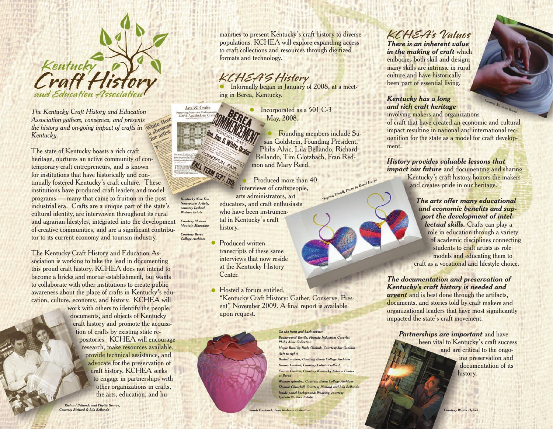

*The Kentucky Craft History and Education Association gathers, conserves, and presents the history and on-going impact of crafts in*  a showist *Kentucky.* 

The state of Kentucky boasts a rich craft heritage, nurtures an active community of contemporary craft entrepreneurs, and is known for institutions that have historically and continually fostered Kentucky's craft culture. These institutions have produced craft leaders and model programs — many that came to fruition in the post industrial era. Crafts are a unique part of the state's cultural identity, are interwoven throughout its rural and agrarian lifestyles, integrated into the development of creative communities, and are a significant contributor to its current economy and tourism industry.

The Kentucky Craft History and Education Association is working to take the lead in documenting this proud craft history. KCHEA does not intend to become a bricks and mortar establishment, but wants to collaborate with other institutions to create public awareness about the place of crafts in Kentucky's education, culture, economy, and history. KCHEA will

*Richard Bellando and Phyllis George,* 

work with others to identify the people, documents, and objects of Kentucky craft history and promote the acquisition of crafts by existing state repositories. KCHEA will encourage research, make resources available, provide technical assistance, and advocate for the preservation of craft history. KCHEA seeks to engage in partnerships with other organizations in crafts, the arts, education, and humanities to present Kentucky's craft history to diverse populations. KCHEA will explore expanding access to craft collections and resources through digitized formats and technology.

### **KCHEA'S History**

**Informally began in January of 2008, at a meet**ing in Berea, Kentucky.

> • Incorporated as a 501 C-3 May, 2008.

 Founding members include Susan Goldstein, Founding President, Philis Alvic, Lila Bellando, Richard Bellando, Tim Glotzbach, Fran Redmon and Mary Reed.

*Stephen Powell, Photo by David Harpe* 

TERM SEPT. 13th Produced more than 40  $\bullet$ interviews of craftspeople, arts administrators, art educators, and craft enthusiasts who have been instrumental in Kentucky's craft history.

> Produced written transcripts of these same interviews that now reside at the Kentucky History Center.

 $\bullet$ 

*Kentucky New Era Newspaper Article, courtesy Lysbeth Wallace Estate Courtesy Modern Moutain Magazine Courtesy Berea College Archives*

Arts & Crafts

 $\bullet$ Hosted a forum entitled, "Kentucky Craft History: Gather, Conserve, Present" November 2009. A final report is available upon request.



*On the front and back covers: Background Textile, Fireside Industries Coverlet, Philis Alvic Collection Maple Bowl by Rude Osolnik, Courtesy Joe Osol (left to right) Basket makers, Courtesy Berea College Archives Homer Ledford, Courtesy Colista Ledford Connie Carlton, Courtesy Kentucky Artisan Center at Berea*

*Woman spinning, Courtesy Berea College Archives Eleanor Churchill, Courtesy Richard and Lila Bellando Inside panel background: Weaving, courtesy Lysbeth Wallace Estate*

## **KCHEA's Values**

*There is an inherent value in the making of craft* which embodies both skill and design; many skills are intrinsic in rural culture and have historically been part of essential living.

*Kentucky has a long and rich craft heritage* involving makers and organizations

of craft that have created an economic and cultural impact resulting in national and international recognition for the state as a model for craft development.

*History provides valuable lessons that* 

*impact our future* and documenting and sharing Kentucky's craft history honors the makers and creates pride in our heritage.

#### *The arts offer many educational and economic benefits and support the development of intel-*

Courtesy Marianne Brown

*lectual skills.* Crafts can play a role in education through a variety of academic disciplines connecting students to craft artists as role models and educating them to craft as a vocational and lifestyle choice.

#### *The documentation and preservation of Kentucky's craft history is needed and*

*urgent* and is best done through the artifacts, documents, and stories told by craft makers and organizational leaders that have most significantly impacted the state's craft movement.

*Partnerships are important* and have been vital to Kentucky's craft success and are critical to the ongoing preservation and documentation of its history.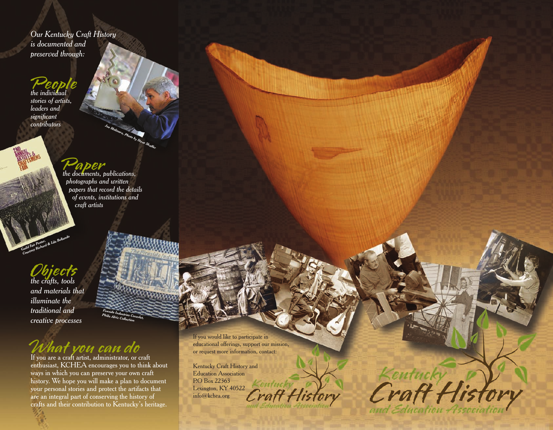*Our Kentucky Craft History is documented and preserved through:*

## **People** *the individual*

*stories of artists, leaders and significant contributors*

## **Paper** *the documents, publications,*

*photographs and written papers that record the details of events, institutions and craft artists*

*Joe Molinaro, Photo by Steve Shaffer*

# *the crafts, tools*  **Objects**

*Guild Fair Poster, Courtesy Richard & Lila Bellando*

*and materials that illuminate the traditional and creative processes*

# **What you can do** If you are a craft artist, administrator, or craft

enthusiast, KCHEA encourages you to think about ways in which you can preserve your own craft history. We hope you will make a plan to document your personal stories and protect the artifacts that are an integral part of conserving the history of crafts and their contribution to Kentucky's heritage.

*Fireside Industries Coverlet, Philis Alvic Collection*

> If you would like to participate in educational offerings, support our mission, or request more information, contact:

Kentucky Craft History and Education Association P.O Box 22363 Kentucky Lexington, KY 40522 Craft H info@kchea.org

Eentucky Wisłory and Education Association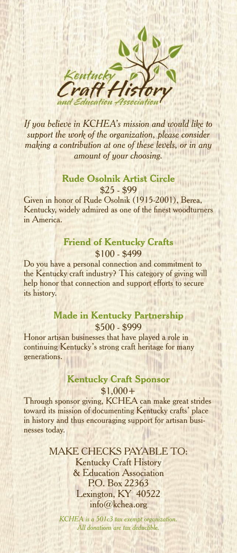

*If you believe in KCHEA's mission and would like to support the work of the organization, please consider making a contribution at one of these levels, or in any amount of your choosing.*

#### **Rude Osolnik Artist Circle**  \$25 - \$99

Given in honor of Rude Osolnik (1915-2001), Berea, Kentucky, widely admired as one of the finest woodturners in America.

#### **Friend of Kentucky Crafts**  \$100 - \$499

Do you have a personal connection and commitment to the Kentucky craft industry? This category of giving will help honor that connection and support efforts to secure its history.

#### **Made in Kentucky Partnership** \$500 - \$999

Honor artisan businesses that have played a role in continuing Kentucky's strong craft heritage for many generations.

#### **Kentucky Craft Sponsor**  $$1,000+$

Through sponsor giving, KCHEA can make great strides toward its mission of documenting Kentucky crafts' place in history and thus encouraging support for artisan businesses today.

> MAKE CHECKS PAYABLE TO: Kentucky Craft History & Education Association P.O. Box 22363 Lexington, KY 40522 info@kchea.org

*KCHEA is a 501c3 tax exempt organization. All donations are tax deductible.*